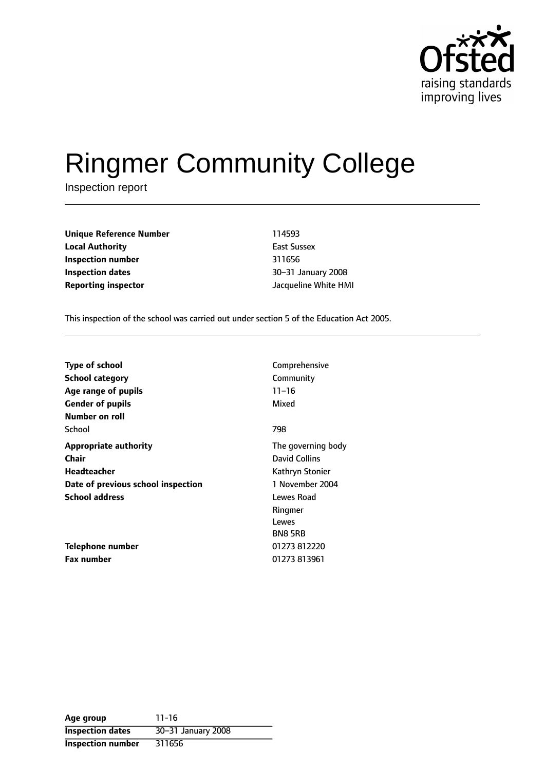

# Ringmer Community College

Inspection report

**Unique Reference Number** 114593 **Local Authority East Sussex Inspection number** 311656 **Inspection dates 1888 1888 1888 1888 1888 1888 1888 1888 1888 1888 1888 1888 1888 1888 1888 Reporting inspector** Jacqueline White HMI

This inspection of the school was carried out under section 5 of the Education Act 2005.

| <b>Type of school</b>              | Comprehensive      |
|------------------------------------|--------------------|
| <b>School category</b>             | Community          |
| Age range of pupils                | $11 - 16$          |
| <b>Gender of pupils</b>            | Mixed              |
| Number on roll                     |                    |
| School                             | 798                |
| <b>Appropriate authority</b>       | The governing body |
| Chair                              | David Collins      |
| Headteacher                        | Kathryn Stonier    |
| Date of previous school inspection | 1 November 2004    |
| <b>School address</b>              | Lewes Road         |
|                                    | Ringmer            |
|                                    | Lewes              |
|                                    | <b>BN85RB</b>      |
| Telephone number                   | 01273 812220       |
| <b>Fax number</b>                  | 01273 813961       |

**Age group** 11-16 **Inspection dates** 30-31 January 2008 **Inspection number** 311656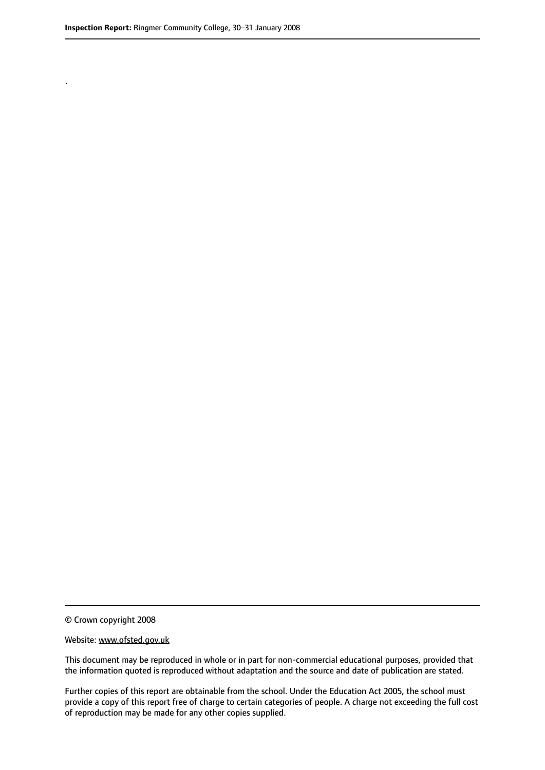.

© Crown copyright 2008

#### Website: www.ofsted.gov.uk

This document may be reproduced in whole or in part for non-commercial educational purposes, provided that the information quoted is reproduced without adaptation and the source and date of publication are stated.

Further copies of this report are obtainable from the school. Under the Education Act 2005, the school must provide a copy of this report free of charge to certain categories of people. A charge not exceeding the full cost of reproduction may be made for any other copies supplied.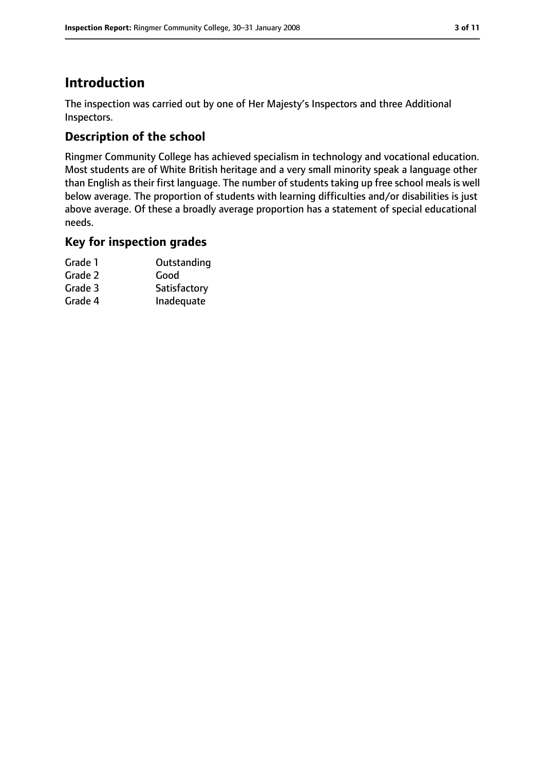# **Introduction**

The inspection was carried out by one of Her Majesty's Inspectors and three Additional Inspectors.

## **Description of the school**

Ringmer Community College has achieved specialism in technology and vocational education. Most students are of White British heritage and a very small minority speak a language other than English as their first language. The number of students taking up free school meals is well below average. The proportion of students with learning difficulties and/or disabilities is just above average. Of these a broadly average proportion has a statement of special educational needs.

## **Key for inspection grades**

| Grade 1 | Outstanding  |
|---------|--------------|
| Grade 2 | Good         |
| Grade 3 | Satisfactory |
| Grade 4 | Inadequate   |
|         |              |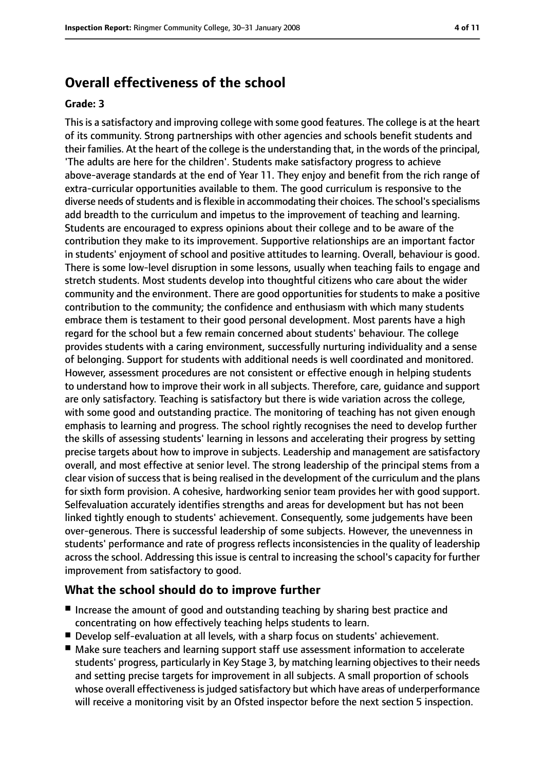## **Overall effectiveness of the school**

#### **Grade: 3**

This is a satisfactory and improving college with some good features. The college is at the heart of its community. Strong partnerships with other agencies and schools benefit students and their families. At the heart of the college isthe understanding that, in the words of the principal, 'The adults are here for the children'. Students make satisfactory progress to achieve above-average standards at the end of Year 11. They enjoy and benefit from the rich range of extra-curricular opportunities available to them. The good curriculum is responsive to the diverse needs of students and is flexible in accommodating their choices. The school's specialisms add breadth to the curriculum and impetus to the improvement of teaching and learning. Students are encouraged to express opinions about their college and to be aware of the contribution they make to its improvement. Supportive relationships are an important factor in students' enjoyment of school and positive attitudes to learning. Overall, behaviour is good. There is some low-level disruption in some lessons, usually when teaching fails to engage and stretch students. Most students develop into thoughtful citizens who care about the wider community and the environment. There are good opportunities for students to make a positive contribution to the community; the confidence and enthusiasm with which many students embrace them is testament to their good personal development. Most parents have a high regard for the school but a few remain concerned about students' behaviour. The college provides students with a caring environment, successfully nurturing individuality and a sense of belonging. Support for students with additional needs is well coordinated and monitored. However, assessment procedures are not consistent or effective enough in helping students to understand how to improve their work in all subjects. Therefore, care, guidance and support are only satisfactory. Teaching is satisfactory but there is wide variation across the college, with some good and outstanding practice. The monitoring of teaching has not given enough emphasis to learning and progress. The school rightly recognises the need to develop further the skills of assessing students' learning in lessons and accelerating their progress by setting precise targets about how to improve in subjects. Leadership and management are satisfactory overall, and most effective at senior level. The strong leadership of the principal stems from a clear vision of success that is being realised in the development of the curriculum and the plans for sixth form provision. A cohesive, hardworking senior team provides her with good support. Selfevaluation accurately identifies strengths and areas for development but has not been linked tightly enough to students' achievement. Consequently, some judgements have been over-generous. There is successful leadership of some subjects. However, the unevenness in students' performance and rate of progress reflects inconsistencies in the quality of leadership across the school. Addressing this issue is central to increasing the school's capacity for further improvement from satisfactory to good.

#### **What the school should do to improve further**

- Increase the amount of good and outstanding teaching by sharing best practice and concentrating on how effectively teaching helps students to learn.
- Develop self-evaluation at all levels, with a sharp focus on students' achievement.
- Make sure teachers and learning support staff use assessment information to accelerate students' progress, particularly in Key Stage 3, by matching learning objectives to their needs and setting precise targets for improvement in all subjects. A small proportion of schools whose overall effectiveness is judged satisfactory but which have areas of underperformance will receive a monitoring visit by an Ofsted inspector before the next section 5 inspection.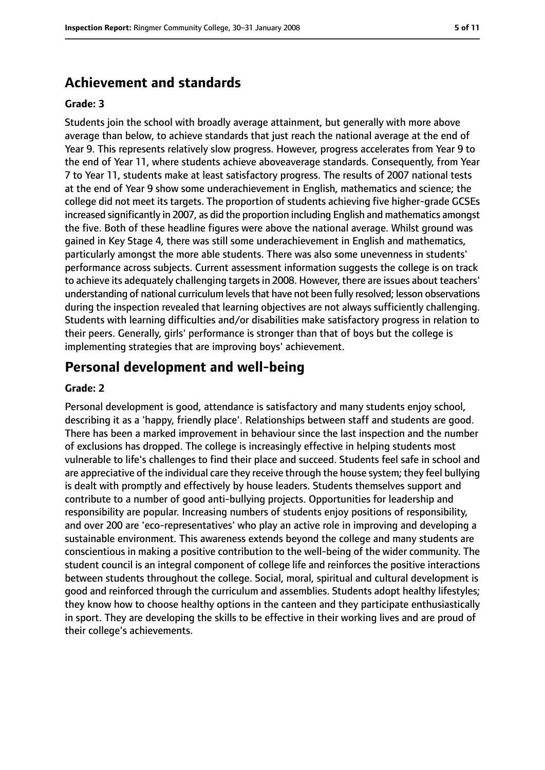## **Achievement and standards**

#### **Grade: 3**

Students join the school with broadly average attainment, but generally with more above average than below, to achieve standards that just reach the national average at the end of Year 9. This represents relatively slow progress. However, progress accelerates from Year 9 to the end of Year 11, where students achieve aboveaverage standards. Consequently, from Year 7 to Year 11, students make at least satisfactory progress. The results of 2007 national tests at the end of Year 9 show some underachievement in English, mathematics and science; the college did not meet its targets. The proportion of students achieving five higher-grade GCSEs increased significantly in 2007, as did the proportion including English and mathematics amongst the five. Both of these headline figures were above the national average. Whilst ground was gained in Key Stage 4, there was still some underachievement in English and mathematics, particularly amongst the more able students. There was also some unevenness in students' performance across subjects. Current assessment information suggests the college is on track to achieve its adequately challenging targetsin 2008. However, there are issues about teachers' understanding of national curriculum levels that have not been fully resolved; lesson observations during the inspection revealed that learning objectives are not always sufficiently challenging. Students with learning difficulties and/or disabilities make satisfactory progress in relation to their peers. Generally, girls' performance is stronger than that of boys but the college is implementing strategies that are improving boys' achievement.

## **Personal development and well-being**

#### **Grade: 2**

Personal development is good, attendance is satisfactory and many students enjoy school, describing it as a 'happy, friendly place'. Relationships between staff and students are good. There has been a marked improvement in behaviour since the last inspection and the number of exclusions has dropped. The college is increasingly effective in helping students most vulnerable to life's challenges to find their place and succeed. Students feel safe in school and are appreciative of the individual care they receive through the house system; they feel bullying is dealt with promptly and effectively by house leaders. Students themselves support and contribute to a number of good anti-bullying projects. Opportunities for leadership and responsibility are popular. Increasing numbers of students enjoy positions of responsibility, and over 200 are 'eco-representatives' who play an active role in improving and developing a sustainable environment. This awareness extends beyond the college and many students are conscientious in making a positive contribution to the well-being of the wider community. The student council is an integral component of college life and reinforces the positive interactions between students throughout the college. Social, moral, spiritual and cultural development is good and reinforced through the curriculum and assemblies. Students adopt healthy lifestyles; they know how to choose healthy options in the canteen and they participate enthusiastically in sport. They are developing the skills to be effective in their working lives and are proud of their college's achievements.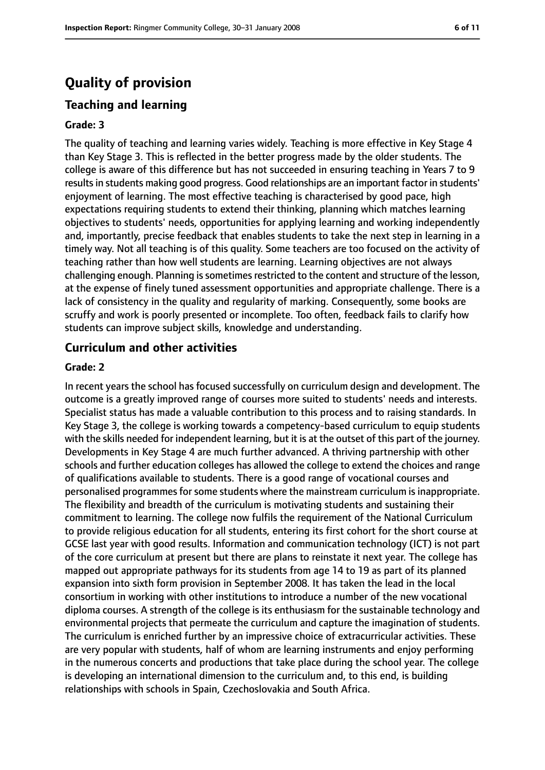## **Quality of provision**

### **Teaching and learning**

#### **Grade: 3**

The quality of teaching and learning varies widely. Teaching is more effective in Key Stage 4 than Key Stage 3. This is reflected in the better progress made by the older students. The college is aware of this difference but has not succeeded in ensuring teaching in Years 7 to 9 results in students making good progress. Good relationships are an important factor in students' enjoyment of learning. The most effective teaching is characterised by good pace, high expectations requiring students to extend their thinking, planning which matches learning objectives to students' needs, opportunities for applying learning and working independently and, importantly, precise feedback that enables students to take the next step in learning in a timely way. Not all teaching is of this quality. Some teachers are too focused on the activity of teaching rather than how well students are learning. Learning objectives are not always challenging enough. Planning is sometimes restricted to the content and structure of the lesson, at the expense of finely tuned assessment opportunities and appropriate challenge. There is a lack of consistency in the quality and regularity of marking. Consequently, some books are scruffy and work is poorly presented or incomplete. Too often, feedback fails to clarify how students can improve subject skills, knowledge and understanding.

#### **Curriculum and other activities**

#### **Grade: 2**

In recent years the school has focused successfully on curriculum design and development. The outcome is a greatly improved range of courses more suited to students' needs and interests. Specialist status has made a valuable contribution to this process and to raising standards. In Key Stage 3, the college is working towards a competency-based curriculum to equip students with the skills needed for independent learning, but it is at the outset of this part of the journey. Developments in Key Stage 4 are much further advanced. A thriving partnership with other schools and further education colleges has allowed the college to extend the choices and range of qualifications available to students. There is a good range of vocational courses and personalised programmes for some students where the mainstream curriculum is inappropriate. The flexibility and breadth of the curriculum is motivating students and sustaining their commitment to learning. The college now fulfils the requirement of the National Curriculum to provide religious education for all students, entering its first cohort for the short course at GCSE last year with good results. Information and communication technology (ICT) is not part of the core curriculum at present but there are plans to reinstate it next year. The college has mapped out appropriate pathways for its students from age 14 to 19 as part of its planned expansion into sixth form provision in September 2008. It has taken the lead in the local consortium in working with other institutions to introduce a number of the new vocational diploma courses. A strength of the college is its enthusiasm for the sustainable technology and environmental projects that permeate the curriculum and capture the imagination of students. The curriculum is enriched further by an impressive choice of extracurricular activities. These are very popular with students, half of whom are learning instruments and enjoy performing in the numerous concerts and productions that take place during the school year. The college is developing an international dimension to the curriculum and, to this end, is building relationships with schools in Spain, Czechoslovakia and South Africa.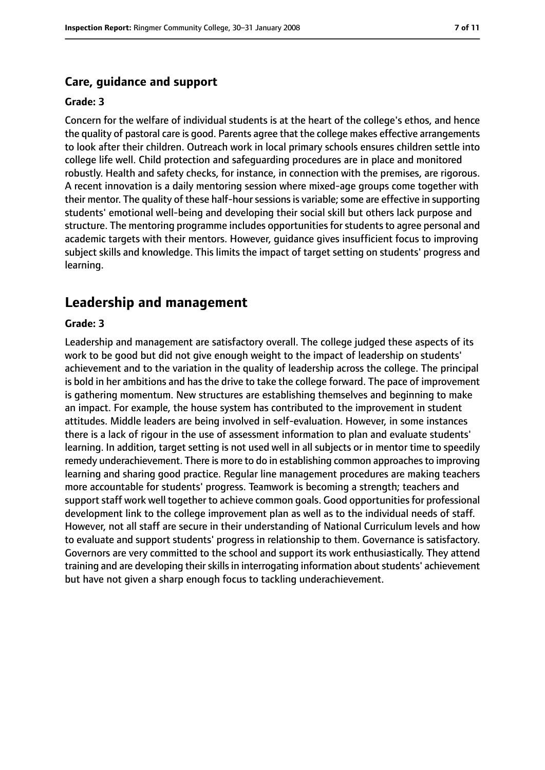#### **Care, guidance and support**

#### **Grade: 3**

Concern for the welfare of individual students is at the heart of the college's ethos, and hence the quality of pastoral care is good. Parents agree that the college makes effective arrangements to look after their children. Outreach work in local primary schools ensures children settle into college life well. Child protection and safeguarding procedures are in place and monitored robustly. Health and safety checks, for instance, in connection with the premises, are rigorous. A recent innovation is a daily mentoring session where mixed-age groups come together with their mentor. The quality of these half-hour sessions is variable; some are effective in supporting students' emotional well-being and developing their social skill but others lack purpose and structure. The mentoring programme includes opportunities for students to agree personal and academic targets with their mentors. However, guidance gives insufficient focus to improving subject skills and knowledge. This limits the impact of target setting on students' progress and learning.

## **Leadership and management**

#### **Grade: 3**

Leadership and management are satisfactory overall. The college judged these aspects of its work to be good but did not give enough weight to the impact of leadership on students' achievement and to the variation in the quality of leadership across the college. The principal is bold in her ambitions and has the drive to take the college forward. The pace of improvement is gathering momentum. New structures are establishing themselves and beginning to make an impact. For example, the house system has contributed to the improvement in student attitudes. Middle leaders are being involved in self-evaluation. However, in some instances there is a lack of rigour in the use of assessment information to plan and evaluate students' learning. In addition, target setting is not used well in all subjects or in mentor time to speedily remedy underachievement. There is more to do in establishing common approaches to improving learning and sharing good practice. Regular line management procedures are making teachers more accountable for students' progress. Teamwork is becoming a strength; teachers and support staff work well together to achieve common goals. Good opportunities for professional development link to the college improvement plan as well as to the individual needs of staff. However, not all staff are secure in their understanding of National Curriculum levels and how to evaluate and support students' progress in relationship to them. Governance is satisfactory. Governors are very committed to the school and support its work enthusiastically. They attend training and are developing their skills in interrogating information about students' achievement but have not given a sharp enough focus to tackling underachievement.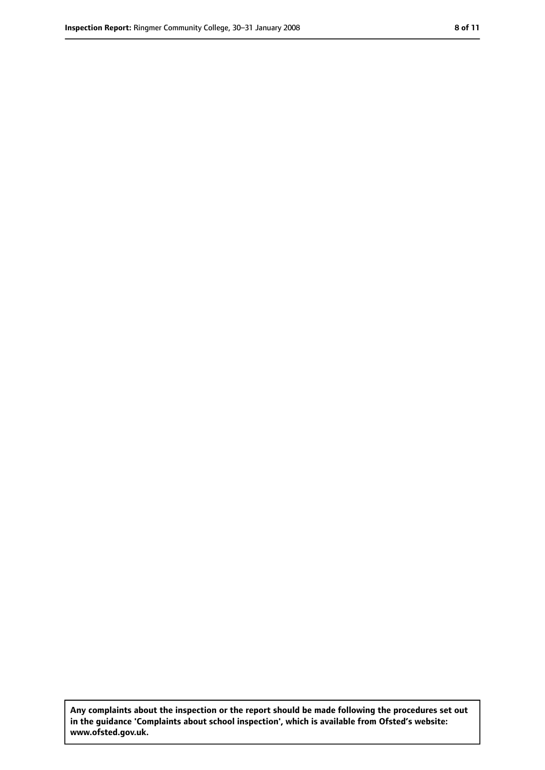**Any complaints about the inspection or the report should be made following the procedures set out in the guidance 'Complaints about school inspection', which is available from Ofsted's website: www.ofsted.gov.uk.**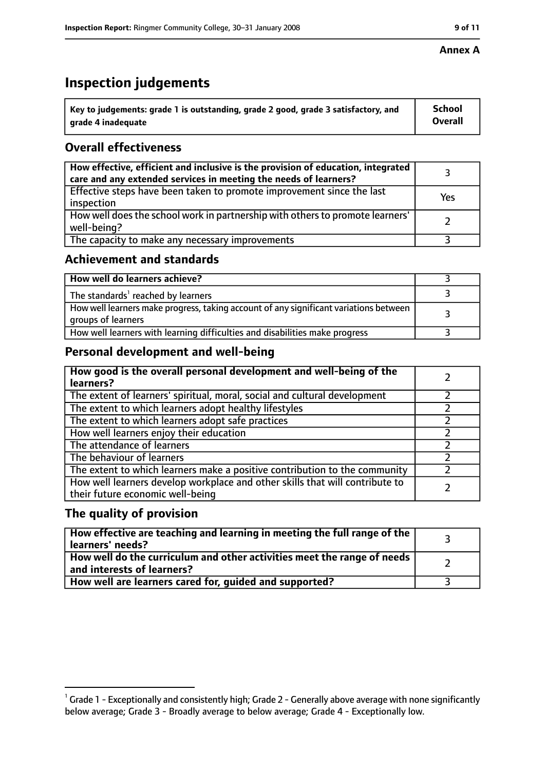## **Inspection judgements**

| $^{\backprime}$ Key to judgements: grade 1 is outstanding, grade 2 good, grade 3 satisfactory, and | School         |
|----------------------------------------------------------------------------------------------------|----------------|
| arade 4 inadeguate                                                                                 | <b>Overall</b> |

## **Overall effectiveness**

| How effective, efficient and inclusive is the provision of education, integrated<br>care and any extended services in meeting the needs of learners? |     |
|------------------------------------------------------------------------------------------------------------------------------------------------------|-----|
| Effective steps have been taken to promote improvement since the last<br>inspection                                                                  | Yes |
| How well does the school work in partnership with others to promote learners'<br>well-being?                                                         |     |
| The capacity to make any necessary improvements                                                                                                      |     |

## **Achievement and standards**

| How well do learners achieve?                                                                               |  |
|-------------------------------------------------------------------------------------------------------------|--|
| The standards <sup>1</sup> reached by learners                                                              |  |
| How well learners make progress, taking account of any significant variations between<br>groups of learners |  |
| How well learners with learning difficulties and disabilities make progress                                 |  |

## **Personal development and well-being**

| How good is the overall personal development and well-being of the<br>learners?                                  |  |
|------------------------------------------------------------------------------------------------------------------|--|
| The extent of learners' spiritual, moral, social and cultural development                                        |  |
| The extent to which learners adopt healthy lifestyles                                                            |  |
| The extent to which learners adopt safe practices                                                                |  |
| How well learners enjoy their education                                                                          |  |
| The attendance of learners                                                                                       |  |
| The behaviour of learners                                                                                        |  |
| The extent to which learners make a positive contribution to the community                                       |  |
| How well learners develop workplace and other skills that will contribute to<br>their future economic well-being |  |

## **The quality of provision**

| $\mid$ How effective are teaching and learning in meeting the full range of the $\mid$<br>learners' needs? |  |
|------------------------------------------------------------------------------------------------------------|--|
| How well do the curriculum and other activities meet the range of needs  <br>and interests of learners?    |  |
| How well are learners cared for, guided and supported?                                                     |  |

 $^1$  Grade 1 - Exceptionally and consistently high; Grade 2 - Generally above average with none significantly below average; Grade 3 - Broadly average to below average; Grade 4 - Exceptionally low.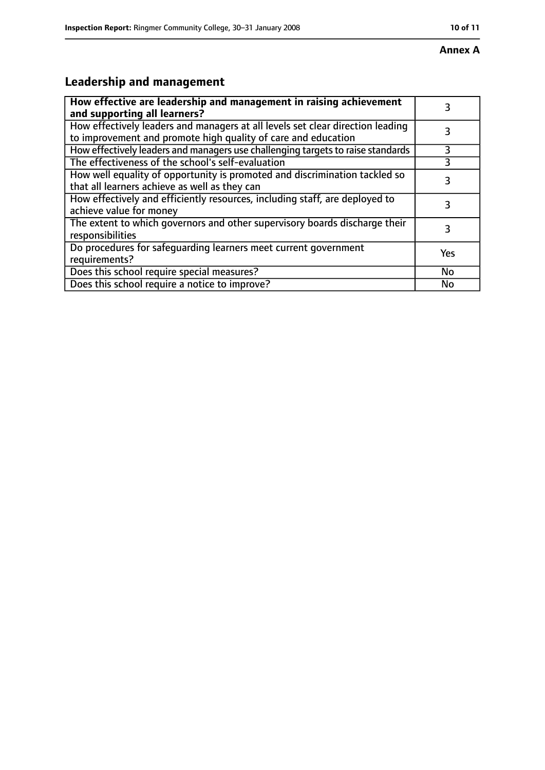# **Leadership and management**

| How effective are leadership and management in raising achievement<br>and supporting all learners?                                              | 3   |
|-------------------------------------------------------------------------------------------------------------------------------------------------|-----|
| How effectively leaders and managers at all levels set clear direction leading<br>to improvement and promote high quality of care and education |     |
| How effectively leaders and managers use challenging targets to raise standards                                                                 | 3   |
| The effectiveness of the school's self-evaluation                                                                                               |     |
| How well equality of opportunity is promoted and discrimination tackled so<br>that all learners achieve as well as they can                     | 3   |
| How effectively and efficiently resources, including staff, are deployed to<br>achieve value for money                                          | 3   |
| The extent to which governors and other supervisory boards discharge their<br>responsibilities                                                  | 3   |
| Do procedures for safequarding learners meet current government<br>requirements?                                                                | Yes |
| Does this school require special measures?                                                                                                      | No  |
| Does this school require a notice to improve?                                                                                                   | No  |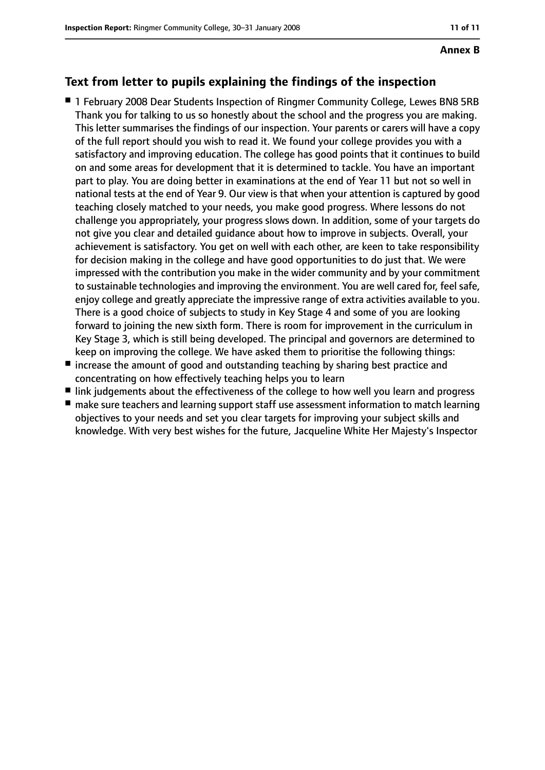## **Text from letter to pupils explaining the findings of the inspection**

- 1 February 2008 Dear Students Inspection of Ringmer Community College, Lewes BN8 5RB Thank you for talking to us so honestly about the school and the progress you are making. This letter summarises the findings of our inspection. Your parents or carers will have a copy of the full report should you wish to read it. We found your college provides you with a satisfactory and improving education. The college has good points that it continues to build on and some areas for development that it is determined to tackle. You have an important part to play. You are doing better in examinations at the end of Year 11 but not so well in national tests at the end of Year 9. Our view is that when your attention is captured by good teaching closely matched to your needs, you make good progress. Where lessons do not challenge you appropriately, your progress slows down. In addition, some of your targets do not give you clear and detailed guidance about how to improve in subjects. Overall, your achievement is satisfactory. You get on well with each other, are keen to take responsibility for decision making in the college and have good opportunities to do just that. We were impressed with the contribution you make in the wider community and by your commitment to sustainable technologies and improving the environment. You are well cared for, feel safe, enjoy college and greatly appreciate the impressive range of extra activities available to you. There is a good choice of subjects to study in Key Stage 4 and some of you are looking forward to joining the new sixth form. There is room for improvement in the curriculum in Key Stage 3, which is still being developed. The principal and governors are determined to keep on improving the college. We have asked them to prioritise the following things:
- increase the amount of good and outstanding teaching by sharing best practice and concentrating on how effectively teaching helps you to learn
- link judgements about the effectiveness of the college to how well you learn and progress
- make sure teachers and learning support staff use assessment information to match learning objectives to your needs and set you clear targets for improving your subject skills and knowledge. With very best wishes for the future, Jacqueline White Her Majesty's Inspector